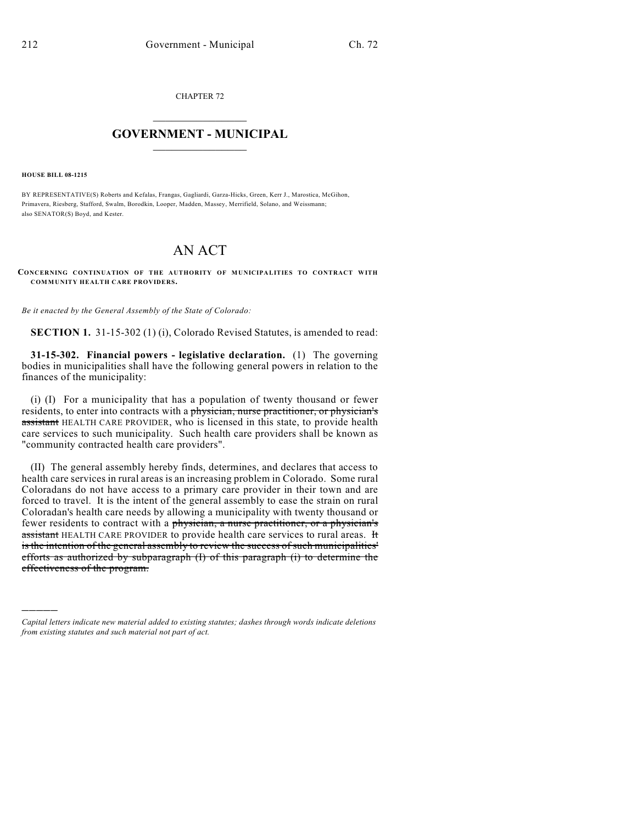CHAPTER 72

## $\mathcal{L}_\text{max}$  . The set of the set of the set of the set of the set of the set of the set of the set of the set of the set of the set of the set of the set of the set of the set of the set of the set of the set of the set **GOVERNMENT - MUNICIPAL**  $\_$

**HOUSE BILL 08-1215**

)))))

BY REPRESENTATIVE(S) Roberts and Kefalas, Frangas, Gagliardi, Garza-Hicks, Green, Kerr J., Marostica, McGihon, Primavera, Riesberg, Stafford, Swalm, Borodkin, Looper, Madden, Massey, Merrifield, Solano, and Weissmann; also SENATOR(S) Boyd, and Kester.

## AN ACT

**CONCERNING CONTINUATION OF THE AUTHORITY OF MUNICIPALITIES TO CONTRACT WITH COMMUNITY HEALTH CARE PROVIDERS.**

*Be it enacted by the General Assembly of the State of Colorado:*

**SECTION 1.** 31-15-302 (1) (i), Colorado Revised Statutes, is amended to read:

**31-15-302. Financial powers - legislative declaration.** (1) The governing bodies in municipalities shall have the following general powers in relation to the finances of the municipality:

(i) (I) For a municipality that has a population of twenty thousand or fewer residents, to enter into contracts with a physician, nurse practitioner, or physician's assistant HEALTH CARE PROVIDER, who is licensed in this state, to provide health care services to such municipality. Such health care providers shall be known as "community contracted health care providers".

(II) The general assembly hereby finds, determines, and declares that access to health care services in rural areas is an increasing problem in Colorado. Some rural Coloradans do not have access to a primary care provider in their town and are forced to travel. It is the intent of the general assembly to ease the strain on rural Coloradan's health care needs by allowing a municipality with twenty thousand or fewer residents to contract with a physician, a nurse practitioner, or a physician's assistant HEALTH CARE PROVIDER to provide health care services to rural areas. It is the intention of the general assembly to review the success of such municipalities' efforts as authorized by subparagraph (I) of this paragraph (i) to determine the effectiveness of the program.

*Capital letters indicate new material added to existing statutes; dashes through words indicate deletions from existing statutes and such material not part of act.*